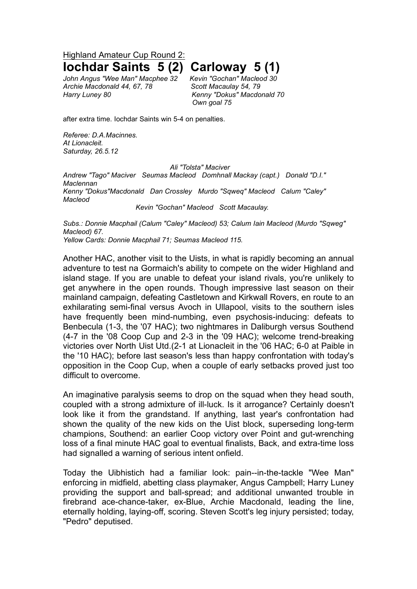Highland Amateur Cup Round 2:

*John Angus "Wee Man" Macphee 32 Kevin "Gochan" Macleod 30 Archie Macdonald 44, 67, 78 Scott Macaulay 54, 79 Harry Luney 80 Kenny "Dokus" Macdonald 70*

**Iochdar Saints 5 (2) Carloway 5 (1)**

*Own goal 75*

after extra time. Iochdar Saints win 5-4 on penalties.

*Referee: D.A.Macinnes. At Lionacleit. Saturday, 26.5.12* 

## *Ali "Tolsta" Maciver*

*Andrew "Tago" Maciver Seumas Macleod Domhnall Mackay (capt.) Donald "D.I." Maclennan Kenny "Dokus"Macdonald Dan Crossley Murdo "Sqweq" Macleod Calum "Caley" Macleod*

*Kevin "Gochan" Macleod Scott Macaulay.*

*Subs.: Donnie Macphail (Calum "Caley" Macleod) 53; Calum Iain Macleod (Murdo "Sqweg" Macleod) 67. Yellow Cards: Donnie Macphail 71; Seumas Macleod 115.*

Another HAC, another visit to the Uists, in what is rapidly becoming an annual adventure to test na Gormaich's ability to compete on the wider Highland and island stage. If you are unable to defeat your island rivals, you're unlikely to get anywhere in the open rounds. Though impressive last season on their mainland campaign, defeating Castletown and Kirkwall Rovers, en route to an exhilarating semi-final versus Avoch in Ullapool, visits to the southern isles have frequently been mind-numbing, even psychosis-inducing: defeats to Benbecula (1-3, the '07 HAC); two nightmares in Daliburgh versus Southend (4-7 in the '08 Coop Cup and 2-3 in the '09 HAC); welcome trend-breaking victories over North Uist Utd.(2-1 at Lionacleit in the '06 HAC; 6-0 at Paible in the '10 HAC); before last season's less than happy confrontation with today's opposition in the Coop Cup, when a couple of early setbacks proved just too difficult to overcome.

An imaginative paralysis seems to drop on the squad when they head south, coupled with a strong admixture of ill-luck. Is it arrogance? Certainly doesn't look like it from the grandstand. If anything, last year's confrontation had shown the quality of the new kids on the Uist block, superseding long-term champions, Southend: an earlier Coop victory over Point and gut-wrenching loss of a final minute HAC goal to eventual finalists, Back, and extra-time loss had signalled a warning of serious intent onfield.

Today the Uibhistich had a familiar look: pain--in-the-tackle "Wee Man" enforcing in midfield, abetting class playmaker, Angus Campbell; Harry Luney providing the support and ball-spread; and additional unwanted trouble in firebrand ace-chance-taker, ex-Blue, Archie Macdonald, leading the line, eternally holding, laying-off, scoring. Steven Scott's leg injury persisted; today, "Pedro" deputised.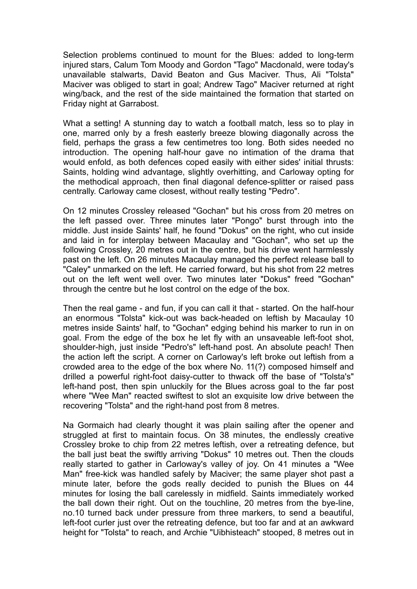Selection problems continued to mount for the Blues: added to long-term injured stars, Calum Tom Moody and Gordon "Tago" Macdonald, were today's unavailable stalwarts, David Beaton and Gus Maciver. Thus, Ali "Tolsta" Maciver was obliged to start in goal; Andrew Tago" Maciver returned at right wing/back, and the rest of the side maintained the formation that started on Friday night at Garrabost.

What a setting! A stunning day to watch a football match, less so to play in one, marred only by a fresh easterly breeze blowing diagonally across the field, perhaps the grass a few centimetres too long. Both sides needed no introduction. The opening half-hour gave no intimation of the drama that would enfold, as both defences coped easily with either sides' initial thrusts: Saints, holding wind advantage, slightly overhitting, and Carloway opting for the methodical approach, then final diagonal defence-splitter or raised pass centrally. Carloway came closest, without really testing "Pedro".

On 12 minutes Crossley released "Gochan" but his cross from 20 metres on the left passed over. Three minutes later "Pongo" burst through into the middle. Just inside Saints' half, he found "Dokus" on the right, who cut inside and laid in for interplay between Macaulay and "Gochan", who set up the following Crossley, 20 metres out in the centre, but his drive went harmlessly past on the left. On 26 minutes Macaulay managed the perfect release ball to "Caley" unmarked on the left. He carried forward, but his shot from 22 metres out on the left went well over. Two minutes later "Dokus" freed "Gochan" through the centre but he lost control on the edge of the box.

Then the real game - and fun, if you can call it that - started. On the half-hour an enormous "Tolsta" kick-out was back-headed on leftish by Macaulay 10 metres inside Saints' half, to "Gochan" edging behind his marker to run in on goal. From the edge of the box he let fly with an unsaveable left-foot shot, shoulder-high, just inside "Pedro's" left-hand post. An absolute peach! Then the action left the script. A corner on Carloway's left broke out leftish from a crowded area to the edge of the box where No. 11(?) composed himself and drilled a powerful right-foot daisy-cutter to thwack off the base of "Tolsta's" left-hand post, then spin unluckily for the Blues across goal to the far post where "Wee Man" reacted swiftest to slot an exquisite low drive between the recovering "Tolsta" and the right-hand post from 8 metres.

Na Gormaich had clearly thought it was plain sailing after the opener and struggled at first to maintain focus. On 38 minutes, the endlessly creative Crossley broke to chip from 22 metres leftish, over a retreating defence, but the ball just beat the swiftly arriving "Dokus" 10 metres out. Then the clouds really started to gather in Carloway's valley of joy. On 41 minutes a "Wee Man" free-kick was handled safely by Maciver; the same player shot past a minute later, before the gods really decided to punish the Blues on 44 minutes for losing the ball carelessly in midfield. Saints immediately worked the ball down their right. Out on the touchline, 20 metres from the bye-line, no.10 turned back under pressure from three markers, to send a beautiful, left-foot curler just over the retreating defence, but too far and at an awkward height for "Tolsta" to reach, and Archie "Uibhisteach" stooped, 8 metres out in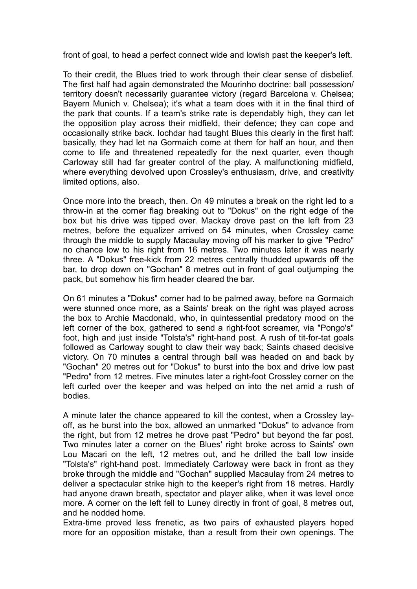front of goal, to head a perfect connect wide and lowish past the keeper's left.

To their credit, the Blues tried to work through their clear sense of disbelief. The first half had again demonstrated the Mourinho doctrine: ball possession/ territory doesn't necessarily guarantee victory (regard Barcelona v. Chelsea; Bayern Munich v. Chelsea); it's what a team does with it in the final third of the park that counts. If a team's strike rate is dependably high, they can let the opposition play across their midfield, their defence; they can cope and occasionally strike back. Iochdar had taught Blues this clearly in the first half: basically, they had let na Gormaich come at them for half an hour, and then come to life and threatened repeatedly for the next quarter, even though Carloway still had far greater control of the play. A malfunctioning midfield, where everything devolved upon Crossley's enthusiasm, drive, and creativity limited options, also.

Once more into the breach, then. On 49 minutes a break on the right led to a throw-in at the corner flag breaking out to "Dokus" on the right edge of the box but his drive was tipped over. Mackay drove past on the left from 23 metres, before the equalizer arrived on 54 minutes, when Crossley came through the middle to supply Macaulay moving off his marker to give "Pedro" no chance low to his right from 16 metres. Two minutes later it was nearly three. A "Dokus" free-kick from 22 metres centrally thudded upwards off the bar, to drop down on "Gochan" 8 metres out in front of goal outjumping the pack, but somehow his firm header cleared the bar.

On 61 minutes a "Dokus" corner had to be palmed away, before na Gormaich were stunned once more, as a Saints' break on the right was played across the box to Archie Macdonald, who, in quintessential predatory mood on the left corner of the box, gathered to send a right-foot screamer, via "Pongo's" foot, high and just inside "Tolsta's" right-hand post. A rush of tit-for-tat goals followed as Carloway sought to claw their way back; Saints chased decisive victory. On 70 minutes a central through ball was headed on and back by "Gochan" 20 metres out for "Dokus" to burst into the box and drive low past "Pedro" from 12 metres. Five minutes later a right-foot Crossley corner on the left curled over the keeper and was helped on into the net amid a rush of bodies.

A minute later the chance appeared to kill the contest, when a Crossley layoff, as he burst into the box, allowed an unmarked "Dokus" to advance from the right, but from 12 metres he drove past "Pedro" but beyond the far post. Two minutes later a corner on the Blues' right broke across to Saints' own Lou Macari on the left, 12 metres out, and he drilled the ball low inside "Tolsta's" right-hand post. Immediately Carloway were back in front as they broke through the middle and "Gochan" supplied Macaulay from 24 metres to deliver a spectacular strike high to the keeper's right from 18 metres. Hardly had anyone drawn breath, spectator and player alike, when it was level once more. A corner on the left fell to Luney directly in front of goal, 8 metres out, and he nodded home.

Extra-time proved less frenetic, as two pairs of exhausted players hoped more for an opposition mistake, than a result from their own openings. The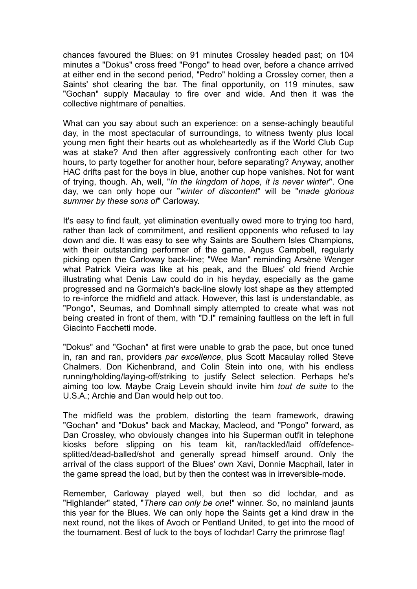chances favoured the Blues: on 91 minutes Crossley headed past; on 104 minutes a "Dokus" cross freed "Pongo" to head over, before a chance arrived at either end in the second period, "Pedro" holding a Crossley corner, then a Saints' shot clearing the bar. The final opportunity, on 119 minutes, saw "Gochan" supply Macaulay to fire over and wide. And then it was the collective nightmare of penalties.

What can you say about such an experience: on a sense-achingly beautiful day, in the most spectacular of surroundings, to witness twenty plus local young men fight their hearts out as wholeheartedly as if the World Club Cup was at stake? And then after aggressively confronting each other for two hours, to party together for another hour, before separating? Anyway, another HAC drifts past for the boys in blue, another cup hope vanishes. Not for want of trying, though. Ah, well, "*In the kingdom of hope, it is never winter*". One day, we can only hope our "*winter of discontent*" will be "*made glorious summer by these sons of*" Carloway.

It's easy to find fault, yet elimination eventually owed more to trying too hard, rather than lack of commitment, and resilient opponents who refused to lay down and die. It was easy to see why Saints are Southern Isles Champions, with their outstanding performer of the game, Angus Campbell, regularly picking open the Carloway back-line; "Wee Man" reminding Arsène Wenger what Patrick Vieira was like at his peak, and the Blues' old friend Archie illustrating what Denis Law could do in his heyday, especially as the game progressed and na Gormaich's back-line slowly lost shape as they attempted to re-inforce the midfield and attack. However, this last is understandable, as "Pongo", Seumas, and Domhnall simply attempted to create what was not being created in front of them, with "D.I" remaining faultless on the left in full Giacinto Facchetti mode.

"Dokus" and "Gochan" at first were unable to grab the pace, but once tuned in, ran and ran, providers *par excellence*, plus Scott Macaulay rolled Steve Chalmers. Don Kichenbrand, and Colin Stein into one, with his endless running/holding/laying-off/striking to justify Select selection. Perhaps he's aiming too low. Maybe Craig Levein should invite him *tout de suite* to the U.S.A.; Archie and Dan would help out too.

The midfield was the problem, distorting the team framework, drawing "Gochan" and "Dokus" back and Mackay, Macleod, and "Pongo" forward, as Dan Crossley, who obviously changes into his Superman outfit in telephone kiosks before slipping on his team kit, ran/tackled/laid off/defencesplitted/dead-balled/shot and generally spread himself around. Only the arrival of the class support of the Blues' own Xavi, Donnie Macphail, later in the game spread the load, but by then the contest was in irreversible-mode.

Remember, Carloway played well, but then so did Iochdar, and as "Highlander" stated, "*There can only be one*!" winner. So, no mainland jaunts this year for the Blues. We can only hope the Saints get a kind draw in the next round, not the likes of Avoch or Pentland United, to get into the mood of the tournament. Best of luck to the boys of Iochdar! Carry the primrose flag!